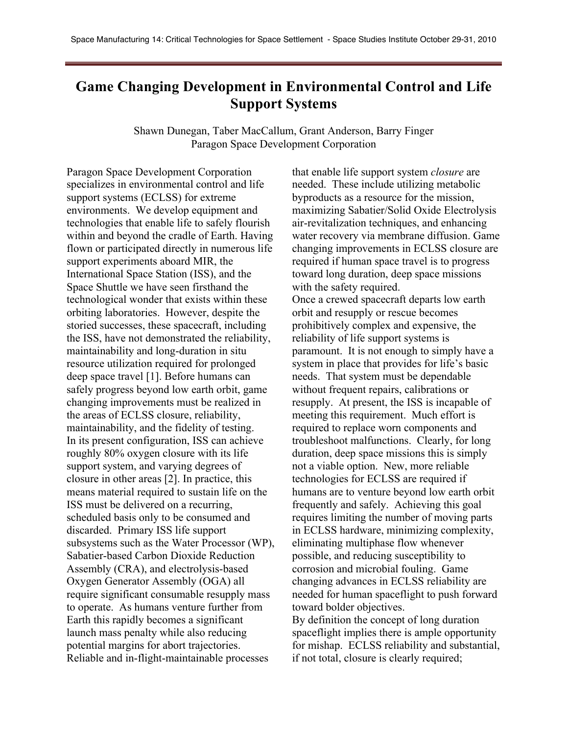## **Game Changing Development in Environmental Control and Life Support Systems**

Shawn Dunegan, Taber MacCallum, Grant Anderson, Barry Finger Paragon Space Development Corporation

Paragon Space Development Corporation specializes in environmental control and life support systems (ECLSS) for extreme environments. We develop equipment and technologies that enable life to safely flourish within and beyond the cradle of Earth. Having flown or participated directly in numerous life support experiments aboard MIR, the International Space Station (ISS), and the Space Shuttle we have seen firsthand the technological wonder that exists within these orbiting laboratories. However, despite the storied successes, these spacecraft, including the ISS, have not demonstrated the reliability, maintainability and long-duration in situ resource utilization required for prolonged deep space travel [1]. Before humans can safely progress beyond low earth orbit, game changing improvements must be realized in the areas of ECLSS closure, reliability, maintainability, and the fidelity of testing. In its present configuration, ISS can achieve roughly 80% oxygen closure with its life support system, and varying degrees of closure in other areas [2]. In practice, this means material required to sustain life on the ISS must be delivered on a recurring, scheduled basis only to be consumed and discarded. Primary ISS life support subsystems such as the Water Processor (WP), Sabatier-based Carbon Dioxide Reduction Assembly (CRA), and electrolysis-based Oxygen Generator Assembly (OGA) all require significant consumable resupply mass to operate. As humans venture further from Earth this rapidly becomes a significant launch mass penalty while also reducing potential margins for abort trajectories. Reliable and in-flight-maintainable processes

that enable life support system *closure* are needed. These include utilizing metabolic byproducts as a resource for the mission, maximizing Sabatier/Solid Oxide Electrolysis air-revitalization techniques, and enhancing water recovery via membrane diffusion. Game changing improvements in ECLSS closure are required if human space travel is to progress toward long duration, deep space missions with the safety required. Once a crewed spacecraft departs low earth orbit and resupply or rescue becomes prohibitively complex and expensive, the reliability of life support systems is paramount. It is not enough to simply have a system in place that provides for life's basic needs. That system must be dependable without frequent repairs, calibrations or resupply. At present, the ISS is incapable of meeting this requirement. Much effort is required to replace worn components and troubleshoot malfunctions. Clearly, for long duration, deep space missions this is simply not a viable option. New, more reliable technologies for ECLSS are required if humans are to venture beyond low earth orbit frequently and safely. Achieving this goal requires limiting the number of moving parts in ECLSS hardware, minimizing complexity, eliminating multiphase flow whenever possible, and reducing susceptibility to corrosion and microbial fouling. Game changing advances in ECLSS reliability are needed for human spaceflight to push forward toward bolder objectives. By definition the concept of long duration

spaceflight implies there is ample opportunity for mishap. ECLSS reliability and substantial, if not total, closure is clearly required;